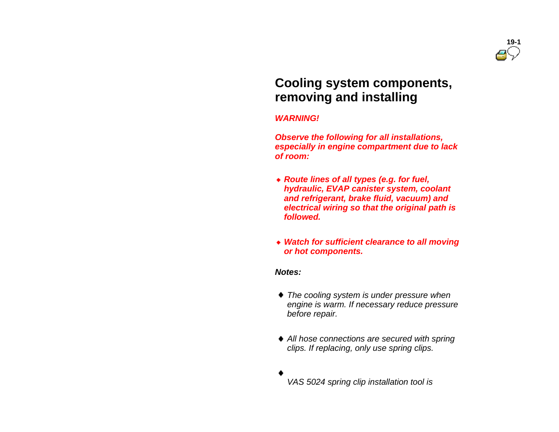

# **Cooling system components, removing and installing**

#### *WARNING!*

 *Observe the following for all installations, especially in engine compartment due to lack of room:*

- *Route lines of all types (e.g. for fuel, hydraulic, EVAP canister system, coolant and refrigerant, brake fluid, vacuum) and electrical wiring so that the original path is followed.*
- *Watch for sufficient clearance to all moving or hot components.*

#### *Notes:*

- *The cooling system is under pressure when engine is warm. If necessary reduce pressure before repair.*
- *All hose connections are secured with spring clips. If replacing, only use spring clips.*

*VAS 5024 spring clip installation tool is*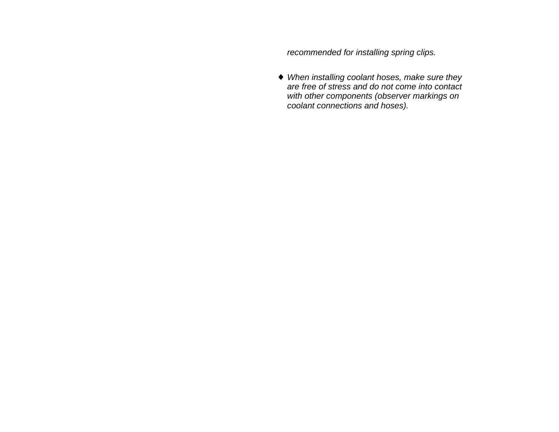*recommended for installing spring clips.*

 *When installing coolant hoses, make sure they are free of stress and do not come into contact with other components (observer markings on coolant connections and hoses).*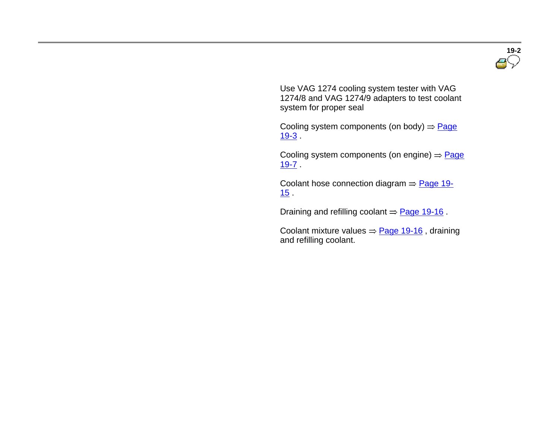

 Use VAG 1274 cooling system tester with VAG 1274/8 and VAG 1274/9 adapters to test coolant system for proper seal

Cooling system components (on body)  $\Rightarrow$  Page  $19-3$  .

Cooling system components (on engine)  $\Rightarrow$  Page 19-7 .

Coolant hose connection diagram  $=$  Page 19-15 .

Draining and refilling coolant  $\Rightarrow$  Page 19-16.

Coolant mixture values  $\Rightarrow$  Page 19-16, draining and refilling coolant.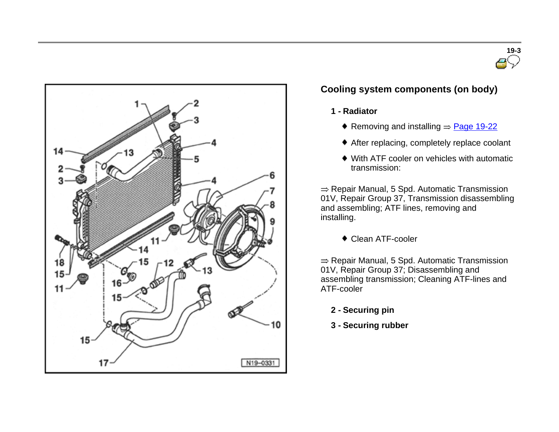



# **Cooling system components (on body)**

#### **1 - Radiator**

- Removing and installing  $\Rightarrow$  Page 19-22
- After replacing, completely replace coolant
- With ATF cooler on vehicles with automatic transmission:

 $\Rightarrow$  Repair Manual, 5 Spd. Automatic Transmission 01V, Repair Group 37, Transmission disassembling and assembling; ATF lines, removing and installing.

Clean ATF-cooler

 $\Rightarrow$  Repair Manual, 5 Spd. Automatic Transmission 01V, Repair Group 37; Disassembling and assembling transmission; Cleaning ATF-lines and ATF-cooler

- **2 - Securing pin**
- **3 - Securing rubber**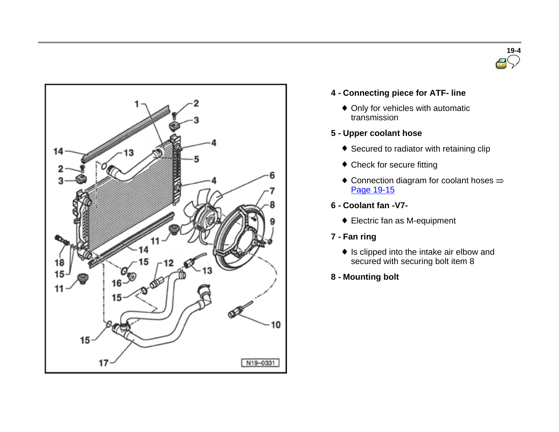



#### **4 - Connecting piece for ATF- line**

Only for vehicles with automatic transmission

#### **5 - Upper coolant hose**

- Secured to radiator with retaining clip
- Check for secure fitting
- $\bullet$  Connection diagram for coolant hoses  $\Rightarrow$ Page 19-15
- **6 - Coolant fan -V7-**
	- Electric fan as M-equipment
- **7 - Fan ring**
	- $\bullet$  Is clipped into the intake air elbow and secured with securing bolt item 8
- **8 - Mounting bolt**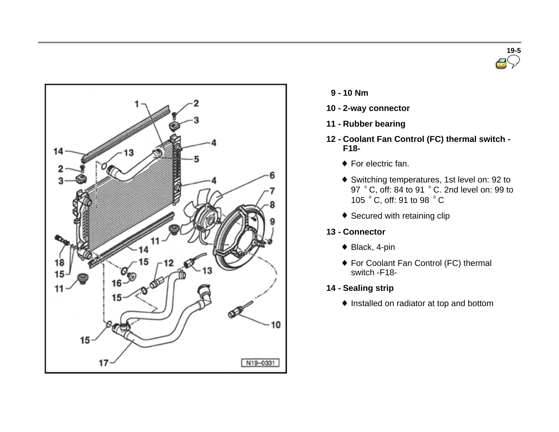



- **9 - <sup>10</sup> Nm**
- **10 - 2-way connector**
- **11 - Rubber bearing**
- **12 - Coolant Fan Control (FC) thermal switch - F18-**
	- ◆ For electric fan.
	- Switching temperatures, 1st level on: 92 to 97 °C, off: 84 to 91 °C. 2nd level on: 99 to 105 °C, off: 91 to 98 °C
	- ◆ Secured with retaining clip

#### **13 - Connector**

- ◆ Black, 4-pin
- ◆ For Coolant Fan Control (FC) thermal switch -F18-
- **14 - Sealing strip**
	- $\bullet$  Installed on radiator at top and bottom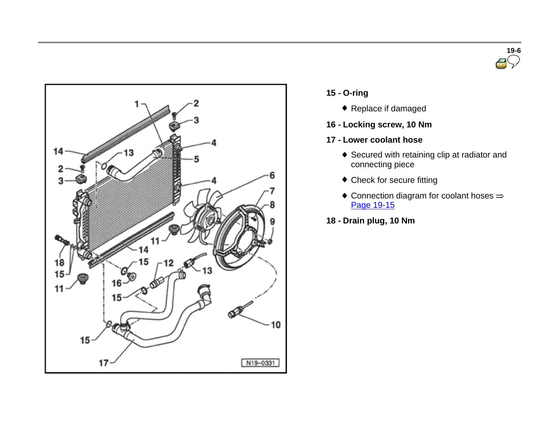



- **15 - O-ring**
	- ◆ Replace if damaged
- **16 - Locking screw, 10 Nm**
- **17 - Lower coolant hose**
	- Secured with retaining clip at radiator and connecting piece
	- Check for secure fitting
	- $\bullet$  Connection diagram for coolant hoses  $\Rightarrow$ Page 19-15
- **18 - Drain plug, 10 Nm**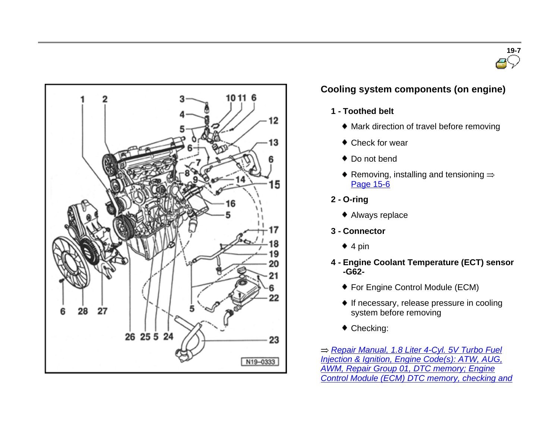



# **Cooling system components (on engine)**

- **1 - Toothed belt**
	- Mark direction of travel before removing
	- Check for wear
	- ◆ Do not bend
	- Removing, installing and tensioning  $\Rightarrow$ Page 15-6
- **2 - O-ring**
	- Always replace
- **3 - Connector**
	- $\triangleq 4$  pin
- **4 - Engine Coolant Temperature (ECT) sensor -G62-**
	- For Engine Control Module (ECM)
	- $\bullet$  If necessary, release pressure in cooling system before removing
	- Checking:

*Repair Manual, 1.8 Liter 4-Cyl. 5V Turbo Fuel Injection & Ignition, Engine Code(s): ATW, AUG, AWM, Repair Group 01, DTC memory; Engine Control Module (ECM) DTC memory, checking and*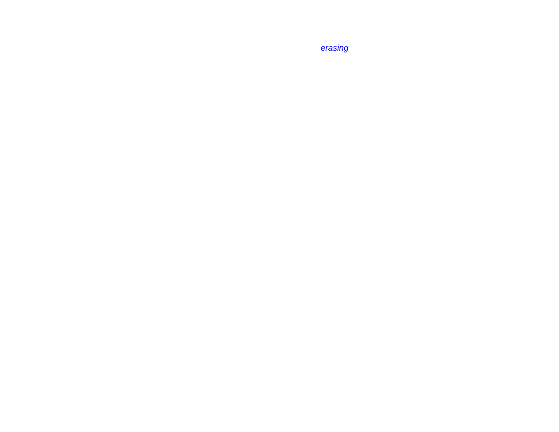*erasing*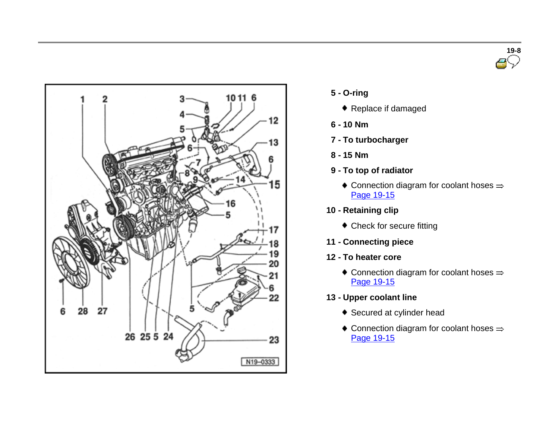



- **5 - O-ring**
	- Replace if damaged
- **6 - 10 Nm**
- **7 - To turbocharger**
- **8 - 15 Nm**
- **9 - To top of radiator**
	- $\bullet$  Connection diagram for coolant hoses  $\Rightarrow$ Page 19-15
- **10 - Retaining clip**
	- Check for secure fitting
- **11 - Connecting piece**
- **12 - To heater core**
	- $\bullet$  Connection diagram for coolant hoses  $\Rightarrow$ Page 19-15
- **13 - Upper coolant line**
	- ◆ Secured at cylinder head
	- $\bullet$  Connection diagram for coolant hoses  $\Rightarrow$ Page 19-15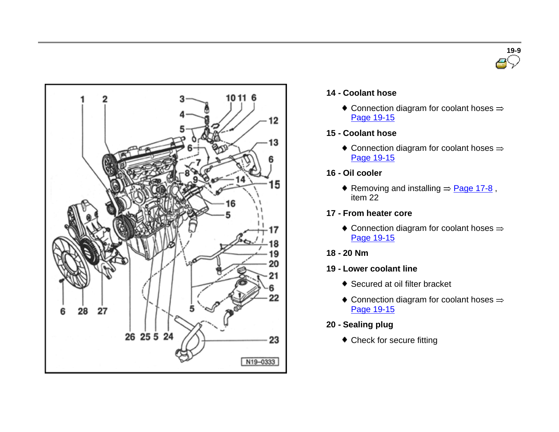



#### **14 - Coolant hose**

 $\bullet$  Connection diagram for coolant hoses  $\Rightarrow$ Page 19-15

#### **15 - Coolant hose**

- $\bullet$  Connection diagram for coolant hoses  $\Rightarrow$ Page 19-15
- **16 - Oil cooler**
	- Removing and installing  $=$  Page 17-8, item 22
- **17 - From heater core**
	- $\bullet$  Connection diagram for coolant hoses  $\Rightarrow$ Page 19-15
- **18 - 20 Nm**
- **19 - Lower coolant line**
	- ◆ Secured at oil filter bracket
	- $\bullet$  Connection diagram for coolant hoses  $\Rightarrow$ Page 19-15
- **20 - Sealing plug**
	- Check for secure fitting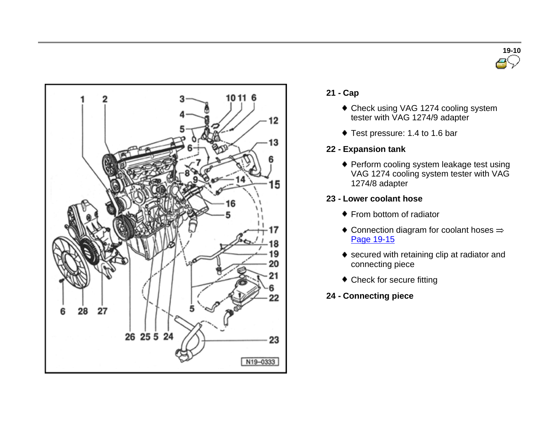



- **21 - Cap**
	- Check using VAG 1274 cooling system tester with VAG 1274/9 adapter
	- Test pressure: 1.4 to 1.6 bar
- **22 - Expansion tank**
	- ◆ Perform cooling system leakage test using VAG 1274 cooling system tester with VAG 1274/8 adapter

#### **23 - Lower coolant hose**

- ◆ From bottom of radiator
- $\bullet$  Connection diagram for coolant hoses  $\Rightarrow$ Page 19-15
- ◆ secured with retaining clip at radiator and connecting piece
- Check for secure fitting
- **24 - Connecting piece**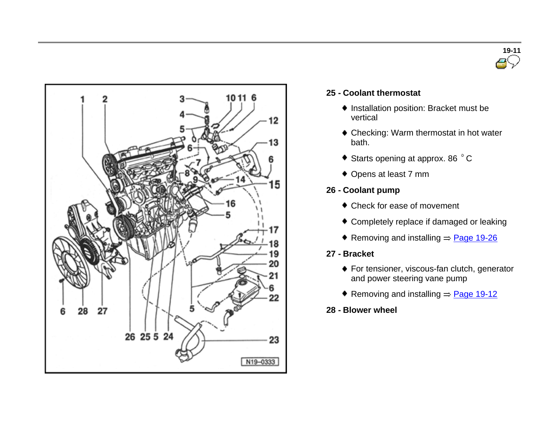



#### **25 - Coolant thermostat**

- $\bullet$  Installation position: Bracket must be vertical
- ◆ Checking: Warm thermostat in hot water bath.
- ◆ Starts opening at approx. 86 °C
- ◆ Opens at least 7 mm

#### **26 - Coolant pump**

- Check for ease of movement
- Completely replace if damaged or leaking
- Removing and installing  $\Rightarrow$  Page 19-26

#### **27 - Bracket**

- ◆ For tensioner, viscous-fan clutch, generator and power steering vane pump
- Removing and installing  $\Rightarrow$  Page 19-12
- **28 - Blower wheel**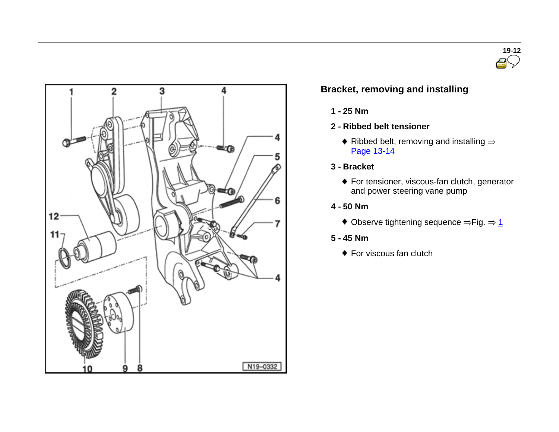



# **Bracket, removing and installing**

- **1 - 25 Nm**
- **2 - Ribbed belt tensioner**
	- $\bullet$  Ribbed belt, removing and installing  $\Rightarrow$ Page 13-14
- **3 - Bracket**
	- For tensioner, viscous-fan clutch, generator and power steering vane pump
- **4 - 50 Nm**
	- $\bullet$  Observe tightening sequence  $\Rightarrow$  Fig.  $\Rightarrow$  1
- **5 - 45 Nm**
	- ◆ For viscous fan clutch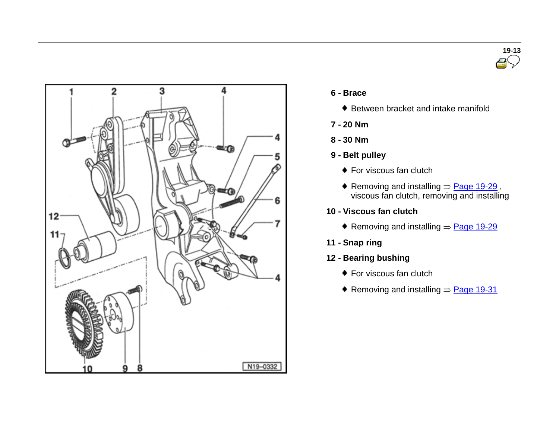



#### **6 - Brace**

- ♦ Between bracket and intake manifold
- **7 - 20 Nm**
- **8 - 30 Nm**
- **9 - Belt pulley**
	- ◆ For viscous fan clutch
	- Removing and installing  $\Rightarrow$  Page 19-29, viscous fan clutch, removing and installing
- **10 - Viscous fan clutch**
	- Removing and installing  $=$  Page 19-29
- **11 - Snap ring**
- **12 - Bearing bushing**
	- ◆ For viscous fan clutch
	- Removing and installing  $=$  Page 19-31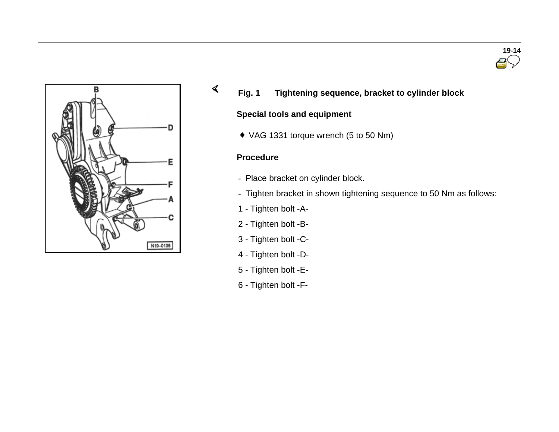



**Fig. 1 Tightening sequence, bracket to cylinder block**

#### **Special tools and equipment**

VAG 1331 torque wrench (5 to 50 Nm)

#### **Procedure**

 $\blacktriangleleft$ 

- Place bracket on cylinder block.
- Tighten bracket in shown tightening sequence to 50 Nm as follows:
- 1 Tighten bolt -A-
- 2 Tighten bolt -B-
- 3 Tighten bolt -C-
- 4 Tighten bolt -D-
- 5 Tighten bolt -E-
- 6 Tighten bolt -F-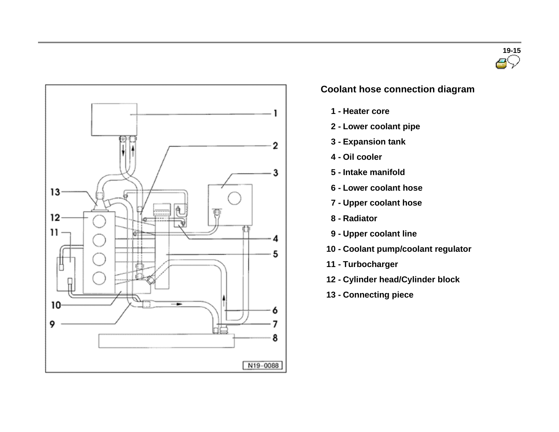



### **Coolant hose connection diagram**

- **1 - Heater core**
- **2 - Lower coolant pipe**
- **3 - Expansion tank**
- **4 - Oil cooler**
- **5 - Intake manifold**
- **6 - Lower coolant hose**
- **7 - Upper coolant hose**
- **8 - Radiator**
- **9 - Upper coolant line**
- **10 - Coolant pump/coolant regulator**
- **11 - Turbocharger**
- **12 - Cylinder head/Cylinder block**
- **13 - Connecting piece**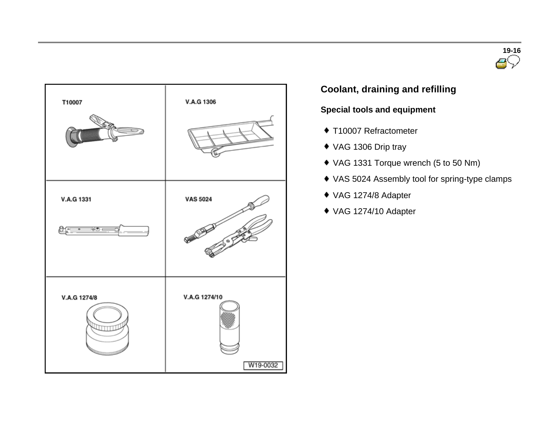



# **Coolant, draining and refilling**

### **Special tools and equipment**

- ◆ T10007 Refractometer
- VAG 1306 Drip tray
- VAG 1331 Torque wrench (5 to 50 Nm)
- VAS 5024 Assembly tool for spring-type clamps
- VAG 1274/8 Adapter
- VAG 1274/10 Adapter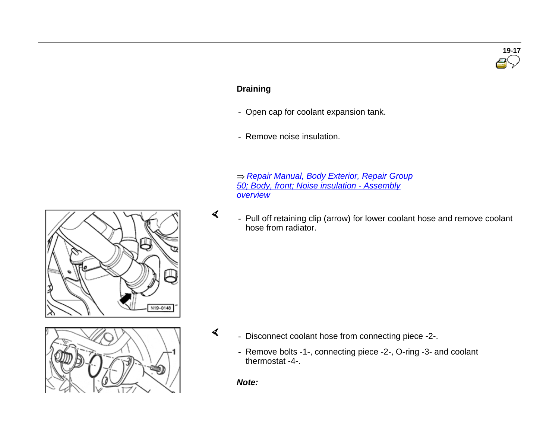# **Draining**

- Open cap for coolant expansion tank.
- Remove noise insulation.

 *Repair Manual, Body Exterior, Repair Group 50; Body, front; Noise insulation - Assembly overview*

 - Pull off retaining clip (arrow) for lower coolant hose and remove coolant hose from radiator.



- Disconnect coolant hose from connecting piece -2-.
	- Remove bolts -1-, connecting piece -2-, O-ring -3- and coolant thermostat -4-.

*Note:*

 $\blacktriangleleft$ 



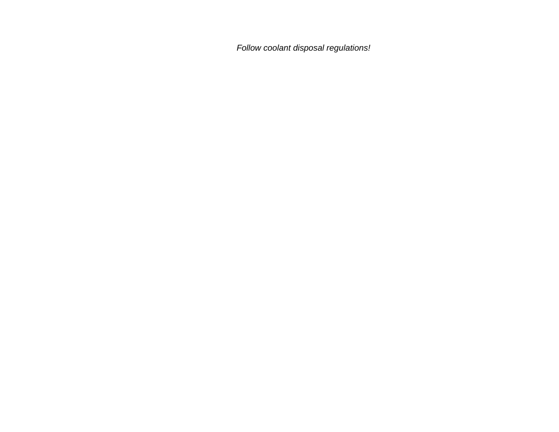*Follow coolant disposal regulations!*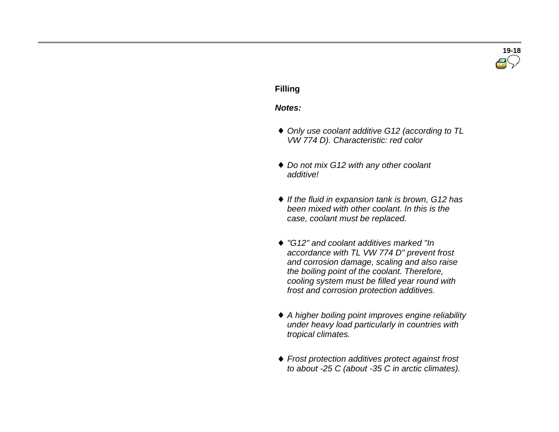# **19-18**

#### **Filling**

#### *Notes:*

- *Only use coolant additive G12 (according to TL VW 774 D). Characteristic: red color*
- *Do not mix G12 with any other coolant additive!*
- *If the fluid in expansion tank is brown, G12 has been mixed with other coolant. In this is the case, coolant must be replaced.*
- *"G12" and coolant additives marked "In accordance with TL VW 774 D" prevent frost and corrosion damage, scaling and also raise the boiling point of the coolant. Therefore, cooling system must be filled year round with frost and corrosion protection additives.*
- *<sup>A</sup> higher boiling point improves engine reliability under heavy load particularly in countries with tropical climates.*
- *Frost protection additives protect against frost to about -25 C (about -35 C in arctic climates).*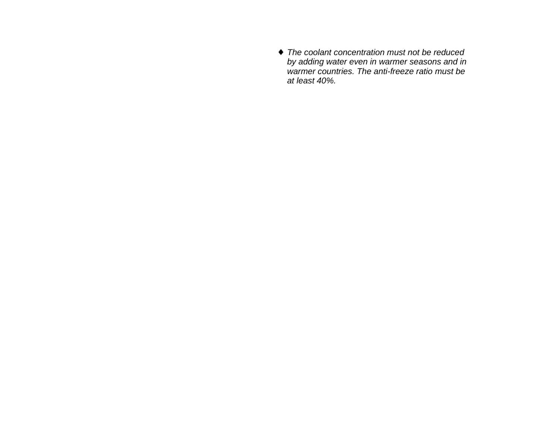*The coolant concentration must not be reduced by adding water even in warmer seasons and in warmer countries. The anti-freeze ratio must be at least 40%.*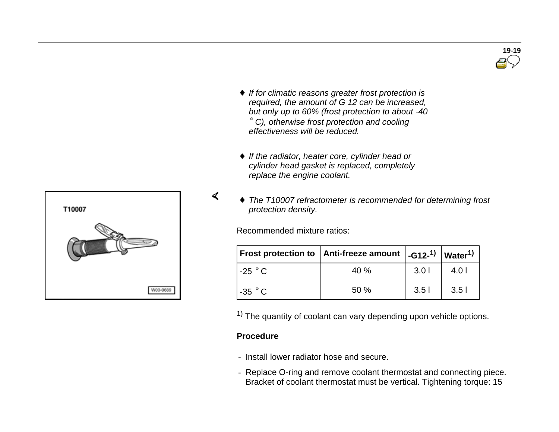

- *If for climatic reasons greater frost protection is required, the amount of G 12 can be increased, but only up to 60% (frost protection to about -40 C), otherwise frost protection and cooling effectiveness will be reduced.*
- *If the radiator, heater core, cylinder head or cylinder head gasket is replaced, completely replace the engine coolant.*
- *The T10007 refractometer is recommended for determining frost protection density.*

Recommended mixture ratios:

|                    | Frost protection to $ $ Anti-freeze amount $ $ -G12- <sup>1)</sup> $ $ Water <sup>1)</sup> |                  |                  |
|--------------------|--------------------------------------------------------------------------------------------|------------------|------------------|
| $-25$ $^{\circ}$ C | 40%                                                                                        | 3.01             | 4.0 <sub>1</sub> |
| $-35$ $^{\circ}$ C | 50%                                                                                        | 3.5 <sub>1</sub> | 3.5 <sub>1</sub> |

 $<sup>1</sup>$  The quantity of coolant can vary depending upon vehicle options.</sup>

#### **Procedure**

 $\blacktriangleleft$ 

- Install lower radiator hose and secure.
- Replace O-ring and remove coolant thermostat and connecting piece. Bracket of coolant thermostat must be vertical. Tightening torque: 15

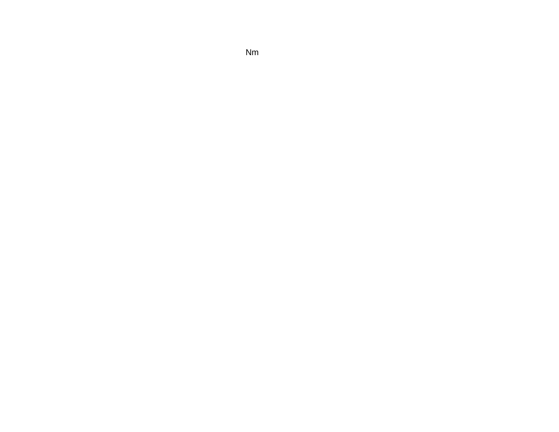Nm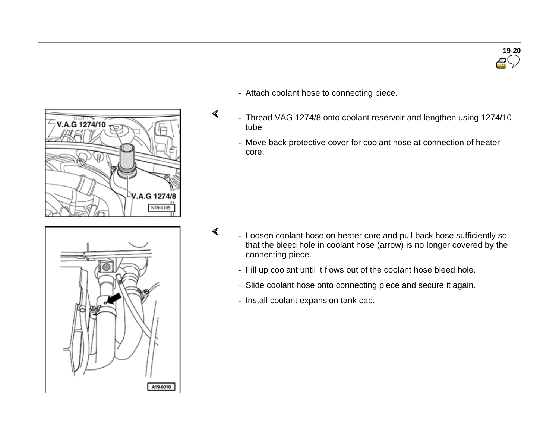



- Attach coolant hose to connecting piece.

 $\blacktriangleleft$ 

 $\blacktriangleleft$ 

- Thread VAG 1274/8 onto coolant reservoir and lengthen using 1274/10 tube
	- Move back protective cover for coolant hose at connection of heater core.



- Loosen coolant hose on heater core and pull back hose sufficiently so that the bleed hole in coolant hose (arrow) is no longer covered by the connecting piece.
	- Fill up coolant until it flows out of the coolant hose bleed hole.
	- Slide coolant hose onto connecting piece and secure it again.
	- Install coolant expansion tank cap.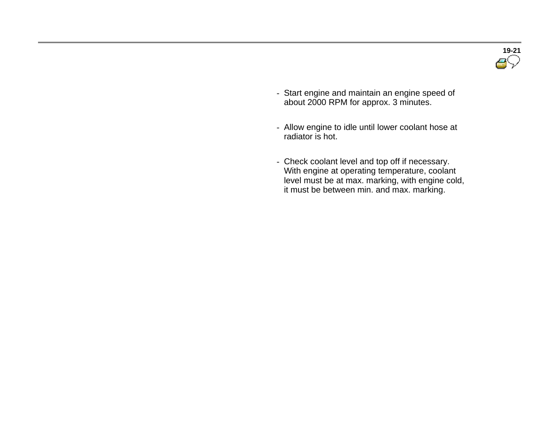

- Start engine and maintain an engine speed of about 2000 RPM for approx. 3 minutes.
- Allow engine to idle until lower coolant hose at radiator is hot.
- Check coolant level and top off if necessary. With engine at operating temperature, coolant level must be at max. marking, with engine cold, it must be between min. and max. marking.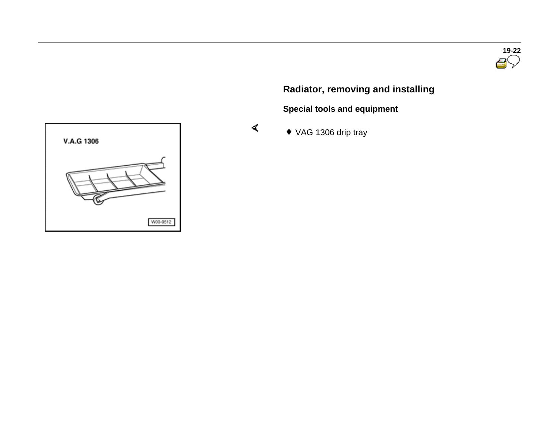# **Radiator, removing and installing**

**Special tools and equipment** 

VAG 1306 drip tray

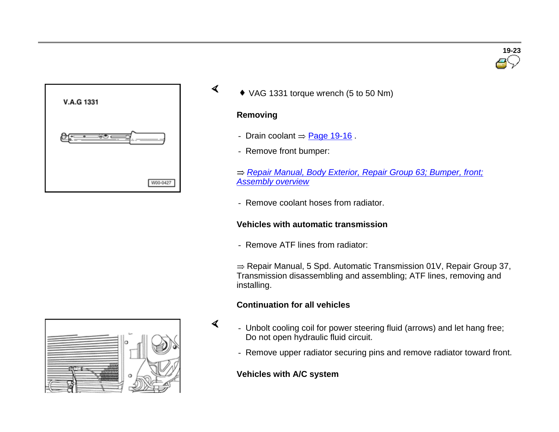

VAG 1331 torque wrench (5 to 50 Nm)

#### **Removing**

 $\blacktriangleleft$ 

 $\blacktriangleleft$ 

- Drain coolant  $=$  Page 19-16.
- Remove front bumper:
- *Repair Manual, Body Exterior, Repair Group 63; Bumper, front; Assembly overview*
- Remove coolant hoses from radiator.

#### **Vehicles with automatic transmission**

- Remove ATF lines from radiator:

 $\Rightarrow$  Repair Manual, 5 Spd. Automatic Transmission 01V, Repair Group 37, Transmission disassembling and assembling; ATF lines, removing and installing.

### **Continuation for all vehicles**

- Unbolt cooling coil for power steering fluid (arrows) and let hang free; Do not open hydraulic fluid circuit.
	- Remove upper radiator securing pins and remove radiator toward front.

#### **Vehicles with A/C system**



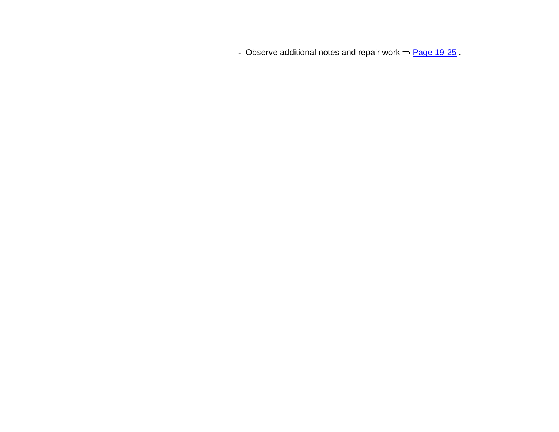- Observe additional notes and repair work  $\Rightarrow$  Page 19-25.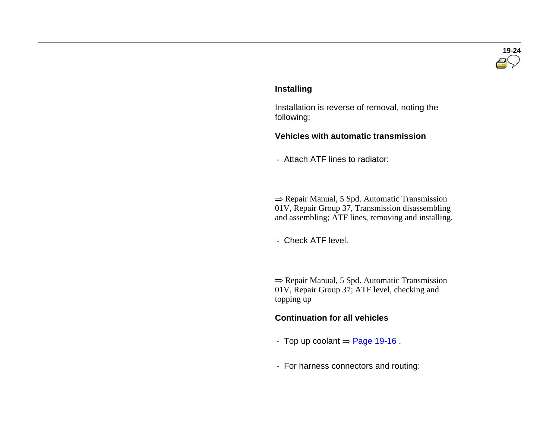

#### **Installing**

 Installation is reverse of removal, noting the following:

#### **Vehicles with automatic transmission**

- Attach ATF lines to radiator:

 $\Rightarrow$  Repair Manual, 5 Spd. Automatic Transmission 01V, Repair Group 37, Transmission disassembling and assembling; ATF lines, removing and installing.

- Check ATF level.

 $\Rightarrow$  Repair Manual, 5 Spd. Automatic Transmission 01V, Repair Group 37; ATF level, checking and topping up

#### **Continuation for all vehicles**

- Top up coolant  $\Rightarrow$  Page 19-16 .
- For harness connectors and routing: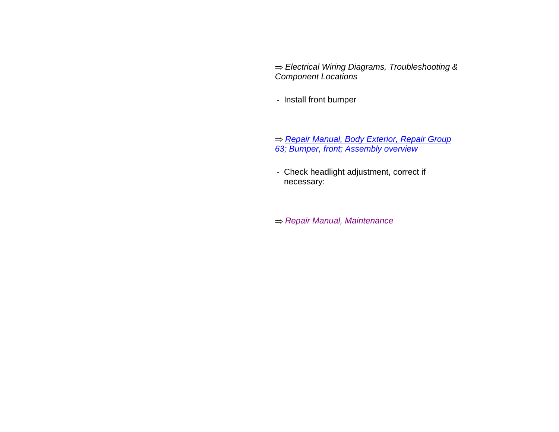*Electrical Wiring Diagrams, Troubleshooting & Component Locations*

- Install front bumper

 *Repair Manual, Body Exterior, Repair Group 63; Bumper, front; Assembly overview*

> - Check headlight adjustment, correct if necessary:

*Repair Manual, Maintenance*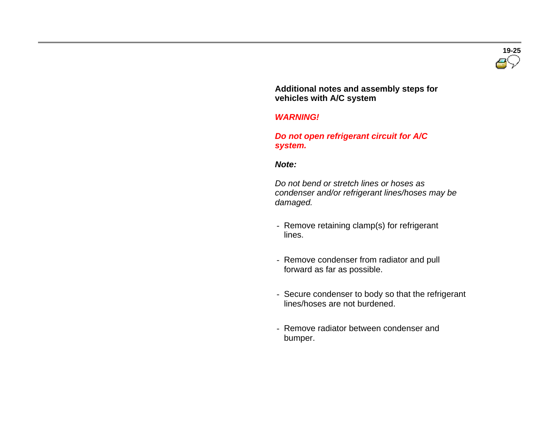

 **Additional notes and assembly steps for vehicles with A/C system** 

#### *WARNING!*

 *Do not open refrigerant circuit for A/C system.*

#### *Note:*

 *Do not bend or stretch lines or hoses as condenser and/or refrigerant lines/hoses may be damaged.*

- Remove retaining clamp(s) for refrigerant lines.
- Remove condenser from radiator and pull forward as far as possible.
- Secure condenser to body so that the refrigerant lines/hoses are not burdened.
- Remove radiator between condenser and bumper.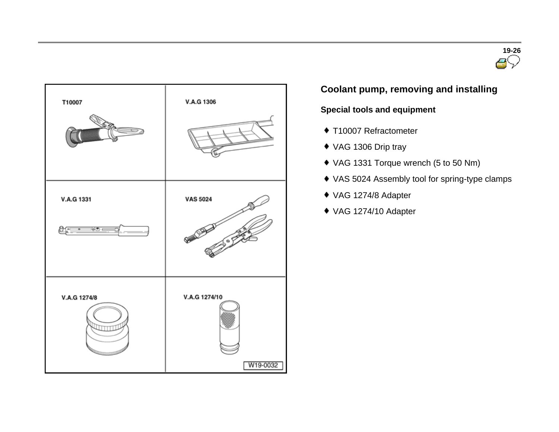



# **Coolant pump, removing and installing**

### **Special tools and equipment**

- ◆ T10007 Refractometer
- VAG 1306 Drip tray
- VAG 1331 Torque wrench (5 to 50 Nm)
- VAS 5024 Assembly tool for spring-type clamps
- VAG 1274/8 Adapter
- VAG 1274/10 Adapter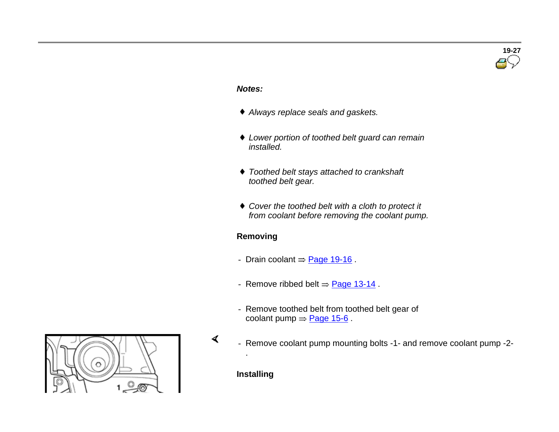# **19-27**

#### *Notes:*

- *Always replace seals and gaskets.*
- *Lower portion of toothed belt guard can remain installed.*
- *Toothed belt stays attached to crankshaft toothed belt gear.*
- *Cover the toothed belt with <sup>a</sup> cloth to protect it from coolant before removing the coolant pump.*

#### **Removing**

- Drain coolant  $=$  Page 19-16 .
- Remove ribbed belt  $\Rightarrow$  Page 13-14.
- Remove toothed belt from toothed belt gear of coolant pump  $\Rightarrow$  Page 15-6.
- Remove coolant pump mounting bolts -1- and remove coolant pump -2-

**Installing** 

.

 $\blacktriangleleft$ 

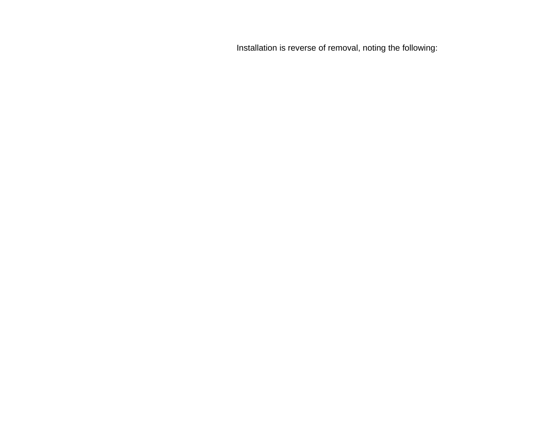Installation is reverse of removal, noting the following: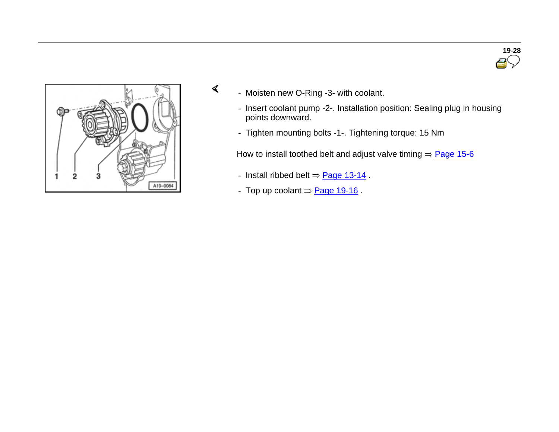



- Moisten new O-Ring -3- with coolant.
	- Insert coolant pump -2-. Installation position: Sealing plug in housing points downward.
	- Tighten mounting bolts -1-. Tightening torque: 15 Nm

How to install toothed belt and adjust valve timing  $\Rightarrow$  Page 15-6

- Install ribbed belt  $\Rightarrow$  Page 13-14.
- Top up coolant  $=$  Page 19-16.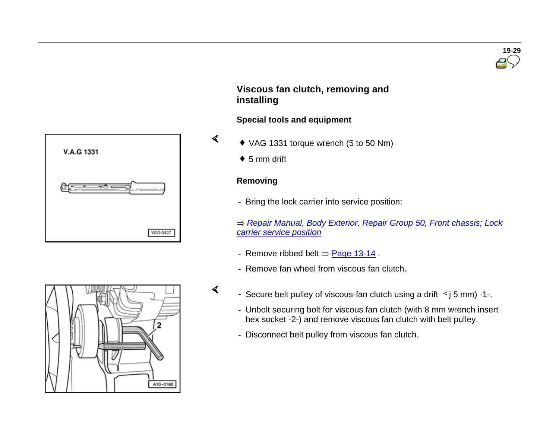





#### **Viscous fan clutch, removing and installing**

#### **Special tools and equipment**

- VAG 1331 torque wrench (5 to 50 Nm)
- $\bullet$  5 mm drift

#### **Removing**

 $\blacktriangleleft$ 

- Bring the lock carrier into service position:
- *Repair Manual, Body Exterior, Repair Group 50, Front chassis; Lock carrier service position*
- Remove ribbed belt  $\Rightarrow$  Page 13-14.
- Remove fan wheel from viscous fan clutch.
- $\triangleleft$  Secure belt pulley of viscous-fan clutch using a drift  $\leq j$  5 mm) -1-.
	- Unbolt securing bolt for viscous fan clutch (with 8 mm wrench insert hex socket -2-) and remove viscous fan clutch with belt pulley.
	- Disconnect belt pulley from viscous fan clutch.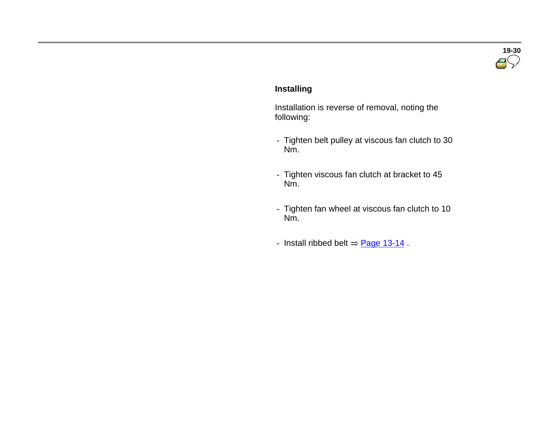

#### **Installing**

 Installation is reverse of removal, noting the following:

- Tighten belt pulley at viscous fan clutch to 30 Nm.
- Tighten viscous fan clutch at bracket to 45 Nm.
- Tighten fan wheel at viscous fan clutch to 10 Nm.
- Install ribbed belt  $=$  Page 13-14.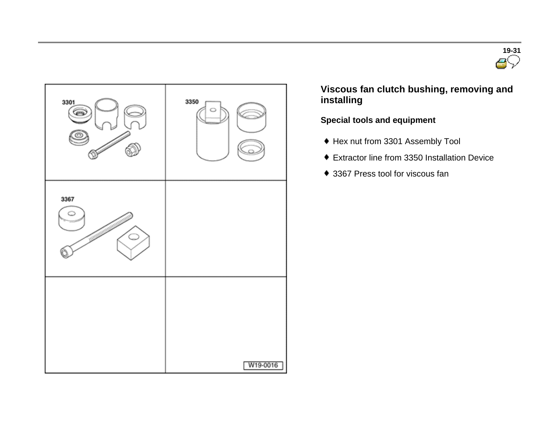



 **Viscous fan clutch bushing, removing and installing**

### **Special tools and equipment**

- Hex nut from 3301 Assembly Tool
- Extractor line from 3350 Installation Device
- 3367 Press tool for viscous fan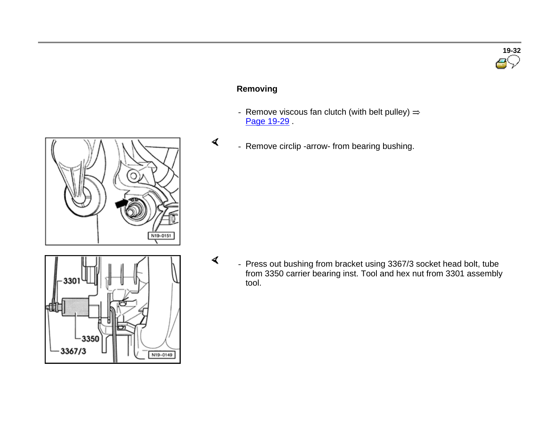#### **Removing**

 $\blacktriangleleft$ 

 $\prec$ 

- Remove viscous fan clutch (with belt pulley)  $\Rightarrow$ Page 19-29
- Remove circlip -arrow- from bearing bushing.

 - Press out bushing from bracket using 3367/3 socket head bolt, tube from 3350 carrier bearing inst. Tool and hex nut from 3301 assembly tool.